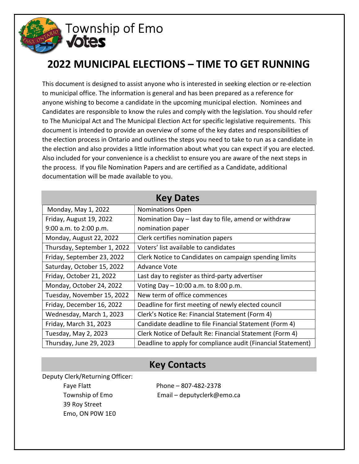

# 2022 MUNICIPAL ELECTIONS – TIME TO GET RUNNING

This document is designed to assist anyone who is interested in seeking election or re-election to municipal office. The information is general and has been prepared as a reference for anyone wishing to become a candidate in the upcoming municipal election. Nominees and Candidates are responsible to know the rules and comply with the legislation. You should refer to The Municipal Act and The Municipal Election Act for specific legislative requirements. This document is intended to provide an overview of some of the key dates and responsibilities of the election process in Ontario and outlines the steps you need to take to run as a candidate in the election and also provides a little information about what you can expect if you are elected. Also included for your convenience is a checklist to ensure you are aware of the next steps in the process. If you file Nomination Papers and are certified as a Candidate, additional documentation will be made available to you.

| <b>Key Dates</b>            |                                                              |
|-----------------------------|--------------------------------------------------------------|
| Monday, May 1, 2022         | <b>Nominations Open</b>                                      |
| Friday, August 19, 2022     | Nomination Day - last day to file, amend or withdraw         |
| 9:00 a.m. to 2:00 p.m.      | nomination paper                                             |
| Monday, August 22, 2022     | Clerk certifies nomination papers                            |
| Thursday, September 1, 2022 | Voters' list available to candidates                         |
| Friday, September 23, 2022  | Clerk Notice to Candidates on campaign spending limits       |
| Saturday, October 15, 2022  | Advance Vote                                                 |
| Friday, October 21, 2022    | Last day to register as third-party advertiser               |
| Monday, October 24, 2022    | Voting Day $-10:00$ a.m. to 8:00 p.m.                        |
| Tuesday, November 15, 2022  | New term of office commences                                 |
| Friday, December 16, 2022   | Deadline for first meeting of newly elected council          |
| Wednesday, March 1, 2023    | Clerk's Notice Re: Financial Statement (Form 4)              |
| Friday, March 31, 2023      | Candidate deadline to file Financial Statement (Form 4)      |
| Tuesday, May 2, 2023        | Clerk Notice of Default Re: Financial Statement (Form 4)     |
| Thursday, June 29, 2023     | Deadline to apply for compliance audit (Financial Statement) |

### Key Contacts

Deputy Clerk/Returning Officer: Faye Flatt Phone – 807-482-2378 39 Roy Street Emo, ON P0W 1E0

Township of Emo<br>
Email – deputyclerk@emo.ca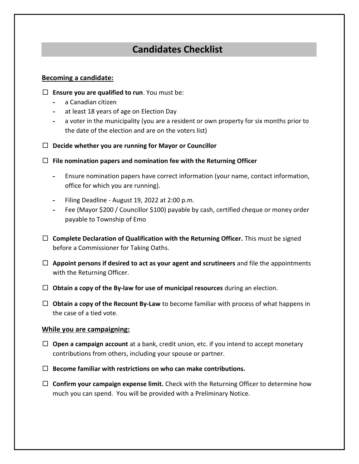## Candidates Checklist

#### Becoming a candidate:

- $\Box$  Ensure you are qualified to run. You must be:
	- a Canadian citizen
	- at least 18 years of age on Election Day
	- a voter in the municipality (you are a resident or own property for six months prior to the date of the election and are on the voters list)
- $\Box$  Decide whether you are running for Mayor or Councillor
- $\Box$  File nomination papers and nomination fee with the Returning Officer
	- Ensure nomination papers have correct information (your name, contact information, office for which you are running).
	- Filing Deadline August 19, 2022 at 2:00 p.m.
	- Fee (Mayor \$200 / Councillor \$100) payable by cash, certified cheque or money order payable to Township of Emo
- $\Box$  Complete Declaration of Qualification with the Returning Officer. This must be signed before a Commissioner for Taking Oaths.
- $\Box$  Appoint persons if desired to act as your agent and scrutineers and file the appointments with the Returning Officer.
- $\Box$  Obtain a copy of the By-law for use of municipal resources during an election.
- $\Box$  Obtain a copy of the Recount By-Law to become familiar with process of what happens in the case of a tied vote.

#### While you are campaigning:

- $\Box$  Open a campaign account at a bank, credit union, etc. if you intend to accept monetary contributions from others, including your spouse or partner.
- $\Box$  Become familiar with restrictions on who can make contributions.
- $\Box$  Confirm your campaign expense limit. Check with the Returning Officer to determine how much you can spend. You will be provided with a Preliminary Notice.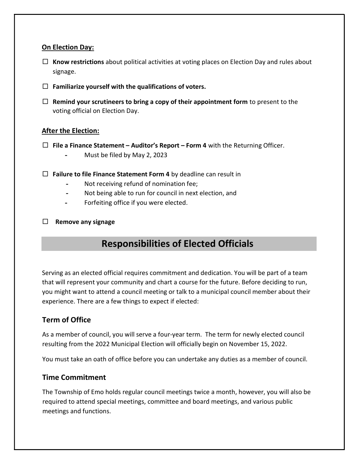### On Election Day:

- $\Box$  Know restrictions about political activities at voting places on Election Day and rules about signage.
- $\Box$  Familiarize yourself with the qualifications of voters.
- $\Box$  Remind your scrutineers to bring a copy of their appointment form to present to the voting official on Election Day.

### After the Election:

- $\Box$  File a Finance Statement Auditor's Report Form 4 with the Returning Officer.
	- Must be filed by May 2, 2023
- $\Box$  Failure to file Finance Statement Form 4 by deadline can result in
	- Not receiving refund of nomination fee;
	- Not being able to run for council in next election, and
	- Forfeiting office if you were elected.
- $\Box$  Remove any signage

## Responsibilities of Elected Officials

Serving as an elected official requires commitment and dedication. You will be part of a team that will represent your community and chart a course for the future. Before deciding to run, you might want to attend a council meeting or talk to a municipal council member about their experience. There are a few things to expect if elected:

### Term of Office

As a member of council, you will serve a four-year term. The term for newly elected council resulting from the 2022 Municipal Election will officially begin on November 15, 2022.

You must take an oath of office before you can undertake any duties as a member of council.

### Time Commitment

The Township of Emo holds regular council meetings twice a month, however, you will also be required to attend special meetings, committee and board meetings, and various public meetings and functions.